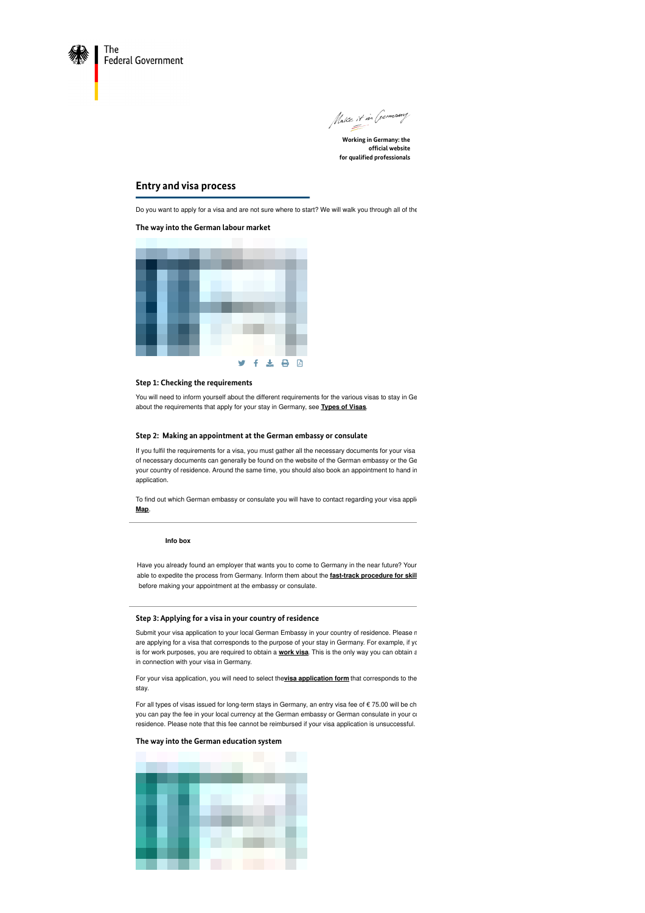

Make it in Germany

**Working in Germany: the official website for qualified professionals**

## **Entry and visa process**

Do you want to apply for a visa and are not sure where to start? We will walk you through all of the

#### **The way into the German labour market**



#### **Step 1: Checking the requirements**

You will need to inform yourself about the different requirements for the various visas to stay in Ge about the requirements that apply for your stay in Germany, see **[Types](https://www.make-it-in-germany.com/en/visa-residence/types/work-qualified-professionals) of Visas**.

#### **Step 2: Making an appointment at the German embassy or consulate**

If you fulfil the requirements for a visa, you must gather all the necessary documents for your visa of necessary documents can generally be found on the website of the German embassy or the Ge your country of residence. Around the same time, you should also book an appointment to hand in application.

To find out which German embassy or consulate you will have to contact regarding your visa appli-**Map**.

#### **Info box**

Have you already found an employer that wants you to come to Germany in the near future? Your able to expedite the process from Germany. Inform them about the **fast-track [procedure](https://www.make-it-in-germany.com/en/looking-for-foreign-professionals/entering/the-fast-track-procedure-for-skilled-workers) for skill** before making your appointment at the embassy or consulate.

#### **Step 3: Applying for a visa in your country of residence**

Submit your visa application to your local German Embassy in your country of residence. Please n are applying for a visa that corresponds to the purpose of your stay in Germany. For example, if you is for [work](https://www.make-it-in-germany.com/en/visa-residence/types/work-qualified-professionals) purposes, you are required to obtain a **work visa**. This is the only way you can obtain a in connection with your visa in Germany.

For your visa [application](https://www.make-it-in-germany.com/en/visa-residence/procedure/application-forms), you will need to select the**visa application form** that corresponds to the stay.

For all types of visas issued for long-term stays in Germany, an entry visa fee of  $\epsilon$  75.00 will be ch you can pay the fee in your local currency at the German embassy or German consulate in your counter residence. Please note that this fee cannot be reimbursed if your visa application is unsuccessful.

#### **The way into the German education system**